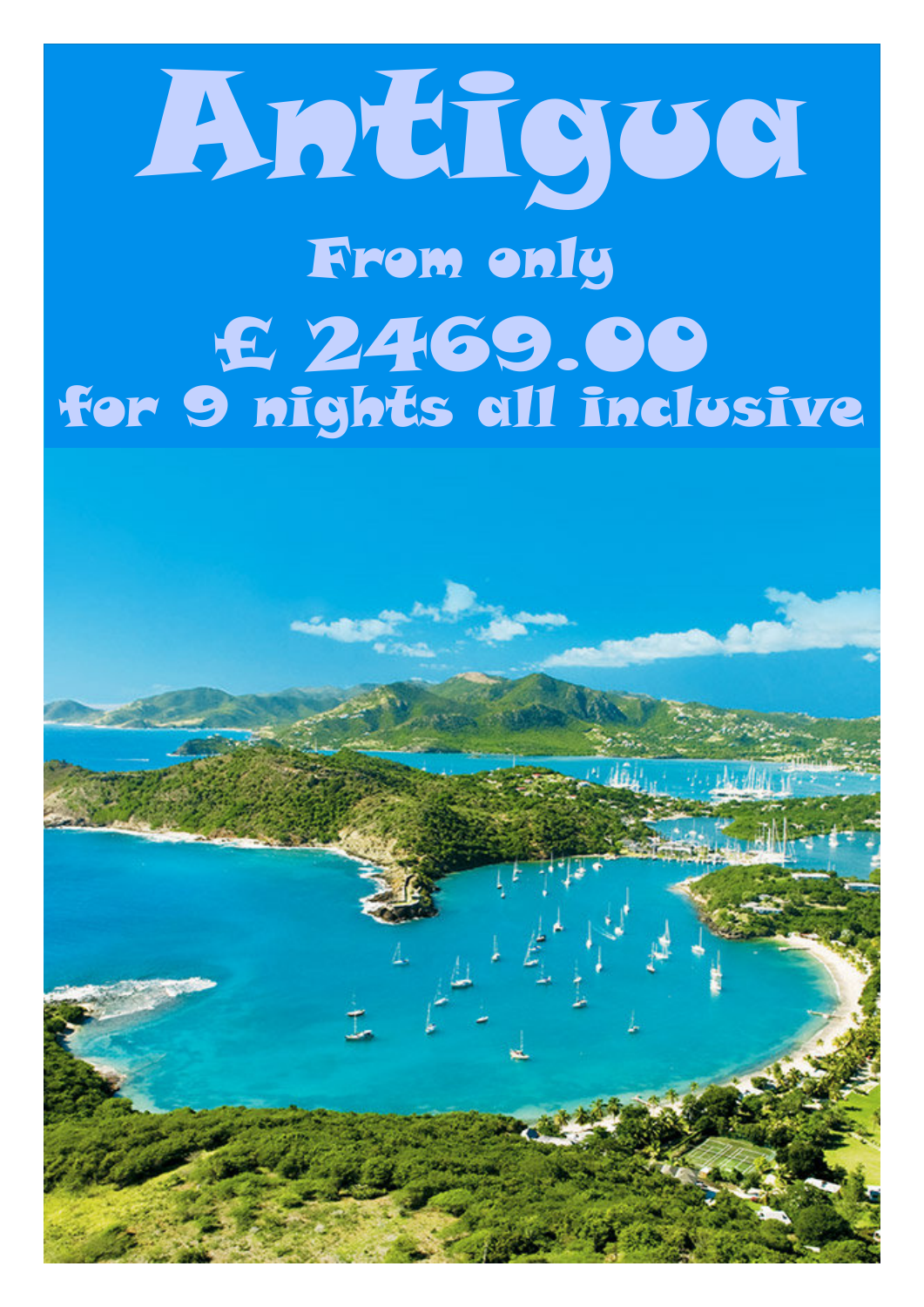## Antigua From only £ 2469.00 for 9 nights all inclusive